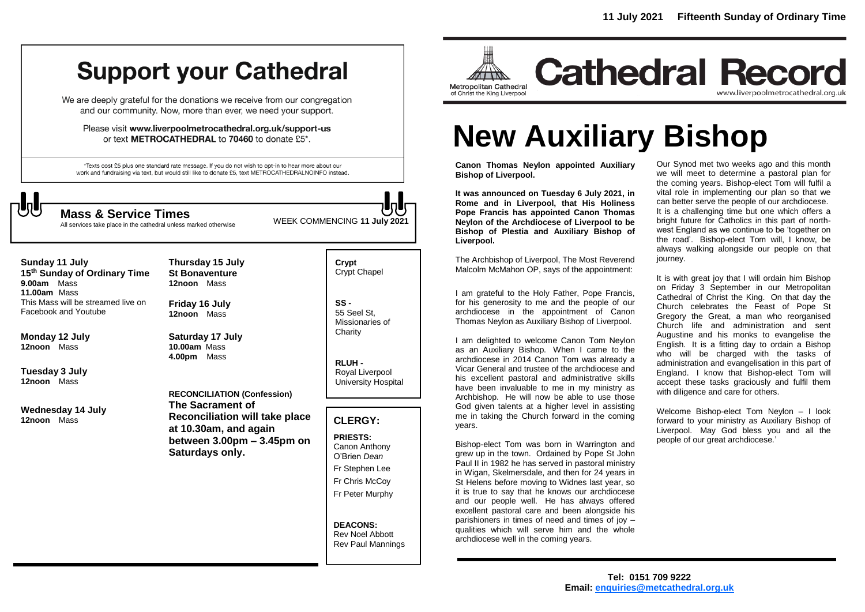## **Support your Cathedral**

We are deeply grateful for the donations we receive from our congregation and our community. Now, more than ever, we need your support.

Please visit www.liverpoolmetrocathedral.org.uk/support-us or text METROCATHEDRAL to 70460 to donate £5\*.

\*Texts cost £5 plus one standard rate message. If you do not wish to opt-in to hear more about our work and fundraising via text, but would still like to donate £5, text METROCATHEDRALNOINFO instead.

WEEK COMMENCING **<sup>11</sup> July <sup>2021</sup> Mass & Service Times**

All services take place in the cathedral unless marked otherwise

**Sunday 11 July 15 th Sunday of Ordinary Time 9.00am** Mass **11.00am** Mass This Mass will be streamed live on Facebook and Youtube

**Monday 12 July 12noon** Mass

**Tuesday 3 July 12noon** Mass

**Wednesday 14 July 12noon** Mass

**Thursday 15 July St Bonaventure 12noon** Mass

**Friday 16 July 12noon** Mass

**Saturday 17 July 10.00am** Mass **4.00pm** Mass

**RECONCILIATION (Confession) The Sacrament of Reconciliation will take place at 10.30am, and again between 3.00pm – 3.45pm on Saturdays only.**

**Crypt**  Crypt Chapel

**SS -** 55 Seel St, Missionaries of **Charity** 

**RLUH -** Royal Liverpool University Hospital

#### **CLERGY:**

**PRIESTS:** Canon Anthony O'Brien *Dean* Fr Stephen Lee Fr Chris McCoy Fr Peter Murphy

**DEACONS:** Rev Noel Abbott Rev Paul Mannings



**Cathedral Record** www.liverpoolmetrocathedral.org.uk

# **New Auxiliary Bishop**

**Canon Thomas Neylon appointed Auxiliary Bishop of Liverpool.**

**It was announced on Tuesday 6 July 2021, in Rome and in Liverpool, that His Holiness Pope Francis has appointed Canon Thomas Neylon of the Archdiocese of Liverpool to be Bishop of Plestia and Auxiliary Bishop of Liverpool.**

The Archbishop of Liverpool, The Most Reverend Malcolm McMahon OP, says of the appointment:

I am grateful to the Holy Father, Pope Francis, for his generosity to me and the people of our archdiocese in the appointment of Canon Thomas Neylon as Auxiliary Bishop of Liverpool.

I am delighted to welcome Canon Tom Neylon as an Auxiliary Bishop. When I came to the archdiocese in 2014 Canon Tom was already a Vicar General and trustee of the archdiocese and his excellent pastoral and administrative skills have been invaluable to me in my ministry as Archbishop. He will now be able to use those God given talents at a higher level in assisting me in taking the Church forward in the coming years.

Bishop-elect Tom was born in Warrington and grew up in the town. Ordained by Pope St John Paul II in 1982 he has served in pastoral ministry in Wigan, Skelmersdale, and then for 24 years in St Helens before moving to Widnes last year, so it is true to say that he knows our archdiocese and our people well. He has always offered excellent pastoral care and been alongside his parishioners in times of need and times of joy – qualities which will serve him and the whole archdiocese well in the coming years.

Our Synod met two weeks ago and this month we will meet to determine a pastoral plan for the coming years. Bishop-elect Tom will fulfil a vital role in implementing our plan so that we can better serve the people of our archdiocese. It is a challenging time but one which offers a bright future for Catholics in this part of northwest England as we continue to be 'together on the road'. Bishop-elect Tom will, I know, be always walking alongside our people on that journey.

It is with great joy that I will ordain him Bishop on Friday 3 September in our Metropolitan Cathedral of Christ the King. On that day the Church celebrates the Feast of Pope St Gregory the Great, a man who reorganised Church life and administration and sent Augustine and his monks to evangelise the English. It is a fitting day to ordain a Bishop who will be charged with the tasks of administration and evangelisation in this part of England. I know that Bishop-elect Tom will accept these tasks graciously and fulfil them with diligence and care for others.

Welcome Bishop-elect Tom Neylon – I look forward to your ministry as Auxiliary Bishop of Liverpool. May God bless you and all the people of our great archdiocese.'